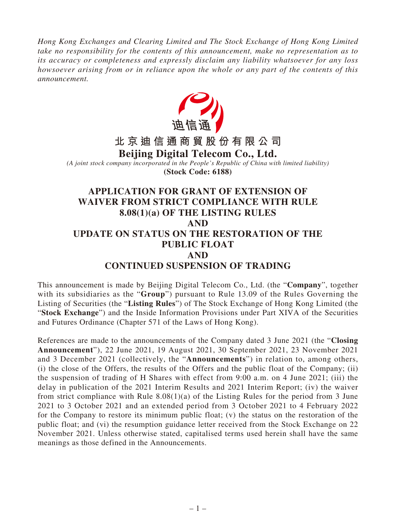*Hong Kong Exchanges and Clearing Limited and The Stock Exchange of Hong Kong Limited take no responsibility for the contents of this announcement, make no representation as to its accuracy or completeness and expressly disclaim any liability whatsoever for any loss howsoever arising from or in reliance upon the whole or any part of the contents of this announcement.*



This announcement is made by Beijing Digital Telecom Co., Ltd. (the "**Company**", together with its subsidiaries as the "**Group**") pursuant to Rule 13.09 of the Rules Governing the Listing of Securities (the "**Listing Rules**") of The Stock Exchange of Hong Kong Limited (the "**Stock Exchange**") and the Inside Information Provisions under Part XIVA of the Securities and Futures Ordinance (Chapter 571 of the Laws of Hong Kong).

References are made to the announcements of the Company dated 3 June 2021 (the "**Closing Announcement**"), 22 June 2021, 19 August 2021, 30 September 2021, 23 November 2021 and 3 December 2021 (collectively, the "**Announcements**") in relation to, among others, (i) the close of the Offers, the results of the Offers and the public float of the Company; (ii) the suspension of trading of H Shares with effect from 9:00 a.m. on 4 June 2021; (iii) the delay in publication of the 2021 Interim Results and 2021 Interim Report; (iv) the waiver from strict compliance with Rule 8.08(1)(a) of the Listing Rules for the period from 3 June 2021 to 3 October 2021 and an extended period from 3 October 2021 to 4 February 2022 for the Company to restore its minimum public float; (v) the status on the restoration of the public float; and (vi) the resumption guidance letter received from the Stock Exchange on 22 November 2021. Unless otherwise stated, capitalised terms used herein shall have the same meanings as those defined in the Announcements.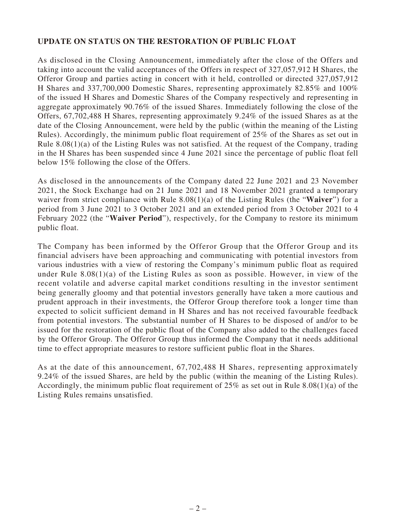## **UPDATE ON STATUS ON THE RESTORATION OF PUBLIC FLOAT**

As disclosed in the Closing Announcement, immediately after the close of the Offers and taking into account the valid acceptances of the Offers in respect of 327,057,912 H Shares, the Offeror Group and parties acting in concert with it held, controlled or directed 327,057,912 H Shares and 337,700,000 Domestic Shares, representing approximately 82.85% and 100% of the issued H Shares and Domestic Shares of the Company respectively and representing in aggregate approximately 90.76% of the issued Shares. Immediately following the close of the Offers, 67,702,488 H Shares, representing approximately 9.24% of the issued Shares as at the date of the Closing Announcement, were held by the public (within the meaning of the Listing Rules). Accordingly, the minimum public float requirement of 25% of the Shares as set out in Rule 8.08(1)(a) of the Listing Rules was not satisfied. At the request of the Company, trading in the H Shares has been suspended since 4 June 2021 since the percentage of public float fell below 15% following the close of the Offers.

As disclosed in the announcements of the Company dated 22 June 2021 and 23 November 2021, the Stock Exchange had on 21 June 2021 and 18 November 2021 granted a temporary waiver from strict compliance with Rule 8.08(1)(a) of the Listing Rules (the "**Waiver**") for a period from 3 June 2021 to 3 October 2021 and an extended period from 3 October 2021 to 4 February 2022 (the "**Waiver Period**"), respectively, for the Company to restore its minimum public float.

The Company has been informed by the Offeror Group that the Offeror Group and its financial advisers have been approaching and communicating with potential investors from various industries with a view of restoring the Company's minimum public float as required under Rule  $8.08(1)(a)$  of the Listing Rules as soon as possible. However, in view of the recent volatile and adverse capital market conditions resulting in the investor sentiment being generally gloomy and that potential investors generally have taken a more cautious and prudent approach in their investments, the Offeror Group therefore took a longer time than expected to solicit sufficient demand in H Shares and has not received favourable feedback from potential investors. The substantial number of H Shares to be disposed of and/or to be issued for the restoration of the public float of the Company also added to the challenges faced by the Offeror Group. The Offeror Group thus informed the Company that it needs additional time to effect appropriate measures to restore sufficient public float in the Shares.

As at the date of this announcement, 67,702,488 H Shares, representing approximately 9.24% of the issued Shares, are held by the public (within the meaning of the Listing Rules). Accordingly, the minimum public float requirement of 25% as set out in Rule 8.08(1)(a) of the Listing Rules remains unsatisfied.